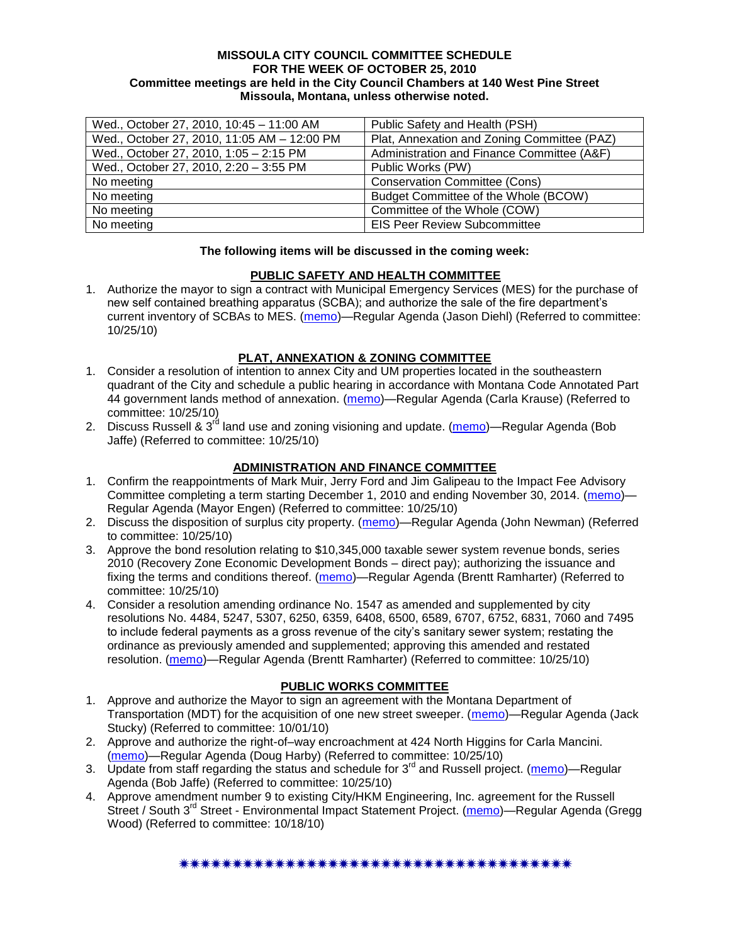#### **MISSOULA CITY COUNCIL COMMITTEE SCHEDULE FOR THE WEEK OF OCTOBER 25, 2010 Committee meetings are held in the City Council Chambers at 140 West Pine Street Missoula, Montana, unless otherwise noted.**

| Wed., October 27, 2010, 10:45 - 11:00 AM    | Public Safety and Health (PSH)              |
|---------------------------------------------|---------------------------------------------|
| Wed., October 27, 2010, 11:05 AM - 12:00 PM | Plat, Annexation and Zoning Committee (PAZ) |
| Wed., October 27, 2010, 1:05 - 2:15 PM      | Administration and Finance Committee (A&F)  |
| Wed., October 27, 2010, 2:20 - 3:55 PM      | Public Works (PW)                           |
| No meeting                                  | <b>Conservation Committee (Cons)</b>        |
| No meeting                                  | Budget Committee of the Whole (BCOW)        |
| No meeting                                  | Committee of the Whole (COW)                |
| No meeting                                  | <b>EIS Peer Review Subcommittee</b>         |

#### **The following items will be discussed in the coming week:**

## **PUBLIC SAFETY AND HEALTH COMMITTEE**

1. Authorize the mayor to sign a contract with Municipal Emergency Services (MES) for the purchase of new self contained breathing apparatus (SCBA); and authorize the sale of the fire department's current inventory of SCBAs to MES. [\(memo\)](http://www.ci.missoula.mt.us/DocumentView.aspx?DID=4842)—Regular Agenda (Jason Diehl) (Referred to committee: 10/25/10)

## **PLAT, ANNEXATION & ZONING COMMITTEE**

- 1. Consider a resolution of intention to annex City and UM properties located in the southeastern quadrant of the City and schedule a public hearing in accordance with Montana Code Annotated Part 44 government lands method of annexation. [\(memo\)](http://www.ci.missoula.mt.us/DocumentView.aspx?DID=4845)—Regular Agenda (Carla Krause) (Referred to committee: 10/25/10)
- 2. Discuss Russell & 3<sup>rd</sup> land use and zoning visioning and update. [\(memo\)](http://www.ci.missoula.mt.us/DocumentView.aspx?DID=4864)—Regular Agenda (Bob Jaffe) (Referred to committee: 10/25/10)

## **ADMINISTRATION AND FINANCE COMMITTEE**

- 1. Confirm the reappointments of Mark Muir, Jerry Ford and Jim Galipeau to the Impact Fee Advisory Committee completing a term starting December 1, 2010 and ending November 30, 2014. [\(memo\)](http://www.ci.missoula.mt.us/DocumentView.aspx?DID=4858)— Regular Agenda (Mayor Engen) (Referred to committee: 10/25/10)
- 2. Discuss the disposition of surplus city property. [\(memo\)](http://www.ci.missoula.mt.us/DocumentView.aspx?DID=4862)—Regular Agenda (John Newman) (Referred to committee: 10/25/10)
- 3. Approve the bond resolution relating to \$10,345,000 taxable sewer system revenue bonds, series 2010 (Recovery Zone Economic Development Bonds – direct pay); authorizing the issuance and fixing the terms and conditions thereof. [\(memo\)](http://www.ci.missoula.mt.us/DocumentView.aspx?DID=4865)—Regular Agenda (Brentt Ramharter) (Referred to committee: 10/25/10)
- 4. Consider a resolution amending ordinance No. 1547 as amended and supplemented by city resolutions No. 4484, 5247, 5307, 6250, 6359, 6408, 6500, 6589, 6707, 6752, 6831, 7060 and 7495 to include federal payments as a gross revenue of the city's sanitary sewer system; restating the ordinance as previously amended and supplemented; approving this amended and restated resolution. [\(memo\)](http://www.ci.missoula.mt.us/DocumentView.aspx?DID=4866)—Regular Agenda (Brentt Ramharter) (Referred to committee: 10/25/10)

#### **PUBLIC WORKS COMMITTEE**

- 1. Approve and authorize the Mayor to sign an agreement with the Montana Department of Transportation (MDT) for the acquisition of one new street sweeper. [\(memo\)](http://www.ci.missoula.mt.us/DocumentView.aspx?DID=4661)—Regular Agenda (Jack Stucky) (Referred to committee: 10/01/10)
- 2. Approve and authorize the right-of–way encroachment at 424 North Higgins for Carla Mancini. [\(memo\)](http://www.ci.missoula.mt.us/DocumentView.aspx?DID=4859)—Regular Agenda (Doug Harby) (Referred to committee: 10/25/10)
- 3. Update from staff regarding the status and schedule for  $3<sup>rd</sup>$  and Russell project. [\(memo\)](http://www.ci.missoula.mt.us/DocumentView.aspx?DID=4857)—Regular Agenda (Bob Jaffe) (Referred to committee: 10/25/10)
- 4. Approve amendment number 9 to existing City/HKM Engineering, Inc. agreement for the Russell Street / South 3<sup>rd</sup> Street - Environmental Impact Statement Project. [\(memo\)](http://www.ci.missoula.mt.us/DocumentView.aspx?DID=4726)—Regular Agenda (Gregg Wood) (Referred to committee: 10/18/10)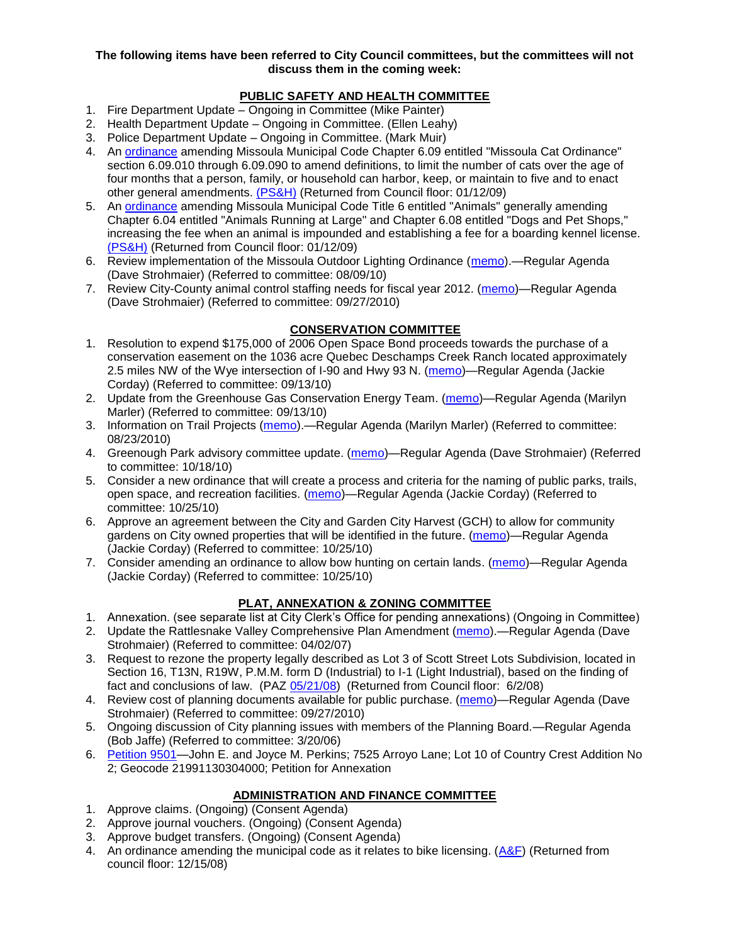#### **The following items have been referred to City Council committees, but the committees will not discuss them in the coming week:**

# **PUBLIC SAFETY AND HEALTH COMMITTEE**

- 1. Fire Department Update Ongoing in Committee (Mike Painter)
- 2. Health Department Update Ongoing in Committee. (Ellen Leahy)
- 3. Police Department Update Ongoing in Committee. (Mark Muir)
- 4. An [ordinance](ftp://ftp.ci.missoula.mt.us/Packets/Council/2008/2008-12-15/2008CatOrdinanceAmendment%5B1%5D.pdf) amending Missoula Municipal Code Chapter 6.09 entitled "Missoula Cat Ordinance" section 6.09.010 through 6.09.090 to amend definitions, to limit the number of cats over the age of four months that a person, family, or household can harbor, keep, or maintain to five and to enact other general amendments. [\(PS&H\)](ftp://ftp.ci.missoula.mt.us/Packets/Council/2008/2008-12-15/081210psh.pdf) (Returned from Council floor: 01/12/09)
- 5. An [ordinance](ftp://ftp.ci.missoula.mt.us/Packets/Council/2008/2008-12-15/DogOrdinance--PSHrevisions.pdf) amending Missoula Municipal Code Title 6 entitled "Animals" generally amending Chapter 6.04 entitled "Animals Running at Large" and Chapter 6.08 entitled "Dogs and Pet Shops," increasing the fee when an animal is impounded and establishing a fee for a boarding kennel license. [\(PS&H\)](ftp://ftp.ci.missoula.mt.us/Packets/Council/2008/2008-12-15/081210psh.pdf) (Returned from Council floor: 01/12/09)
- 6. Review implementation of the Missoula Outdoor Lighting Ordinance [\(memo\)](http://www.ci.missoula.mt.us/DocumentView.aspx?DID=4420).—Regular Agenda (Dave Strohmaier) (Referred to committee: 08/09/10)
- 7. Review City-County animal control staffing needs for fiscal year 2012. [\(memo\)](http://www.ci.missoula.mt.us/DocumentView.aspx?DID=4620)—Regular Agenda (Dave Strohmaier) (Referred to committee: 09/27/2010)

## **CONSERVATION COMMITTEE**

- 1. Resolution to expend \$175,000 of 2006 Open Space Bond proceeds towards the purchase of a conservation easement on the 1036 acre Quebec Deschamps Creek Ranch located approximately 2.5 miles NW of the Wye intersection of I-90 and Hwy 93 N. [\(memo\)](http://www.ci.missoula.mt.us/DocumentView.aspx?DID=4555)—Regular Agenda (Jackie Corday) (Referred to committee: 09/13/10)
- 2. Update from the Greenhouse Gas Conservation Energy Team. [\(memo\)](http://www.ci.missoula.mt.us/DocumentView.aspx?DID=4556)—Regular Agenda (Marilyn Marler) (Referred to committee: 09/13/10)
- 3. Information on Trail Projects [\(memo\)](http://www.ci.missoula.mt.us/DocumentView.aspx?DID=4477).—Regular Agenda (Marilyn Marler) (Referred to committee: 08/23/2010)
- 4. Greenough Park advisory committee update. [\(memo\)](http://www.ci.missoula.mt.us/DocumentView.aspx?DID=4707)—Regular Agenda (Dave Strohmaier) (Referred to committee: 10/18/10)
- 5. Consider a new ordinance that will create a process and criteria for the naming of public parks, trails, open space, and recreation facilities. [\(memo\)](http://www.ci.missoula.mt.us/DocumentView.aspx?DID=4848)—Regular Agenda (Jackie Corday) (Referred to committee: 10/25/10)
- 6. Approve an agreement between the City and Garden City Harvest (GCH) to allow for community gardens on City owned properties that will be identified in the future. [\(memo\)](http://www.ci.missoula.mt.us/DocumentView.aspx?DID=4847)—Regular Agenda (Jackie Corday) (Referred to committee: 10/25/10)
- 7. Consider amending an ordinance to allow bow hunting on certain lands. [\(memo\)](http://www.ci.missoula.mt.us/DocumentView.aspx?DID=4846)—Regular Agenda (Jackie Corday) (Referred to committee: 10/25/10)

# **PLAT, ANNEXATION & ZONING COMMITTEE**

- 1. Annexation. (see separate list at City Clerk's Office for pending annexations) (Ongoing in Committee)
- 2. Update the Rattlesnake Valley Comprehensive Plan Amendment [\(memo\)](ftp://ftp.ci.missoula.mt.us/Packets/Council/2007/2007-04-02/Referrals/Rattlesnake_Plan_Update_referral.pdf).—Regular Agenda (Dave Strohmaier) (Referred to committee: 04/02/07)
- 3. Request to rezone the property legally described as Lot 3 of Scott Street Lots Subdivision, located in Section 16, T13N, R19W, P.M.M. form D (Industrial) to I-1 (Light Industrial), based on the finding of fact and conclusions of law. (PAZ [05/21/08\)](ftp://ftp.ci.missoula.mt.us/Packets/Council/2008/2008-06-02/080521paz.pdf) (Returned from Council floor: 6/2/08)
- 4. Review cost of planning documents available for public purchase. [\(memo\)](http://www.ci.missoula.mt.us/DocumentView.aspx?DID=4624)—Regular Agenda (Dave Strohmaier) (Referred to committee: 09/27/2010)
- 5. Ongoing discussion of City planning issues with members of the Planning Board.—Regular Agenda (Bob Jaffe) (Referred to committee: 3/20/06)
- 6. [Petition 9501—](http://www.ci.missoula.mt.us/DocumentView.aspx?DID=4768)John E. and Joyce M. Perkins; 7525 Arroyo Lane; Lot 10 of Country Crest Addition No 2; Geocode 21991130304000; Petition for Annexation

## **ADMINISTRATION AND FINANCE COMMITTEE**

- 1. Approve claims. (Ongoing) (Consent Agenda)
- 2. Approve journal vouchers. (Ongoing) (Consent Agenda)
- 3. Approve budget transfers. (Ongoing) (Consent Agenda)
- 4. An ordinance amending the municipal code as it relates to bike licensing.  $(A&F)$  (Returned from council floor: 12/15/08)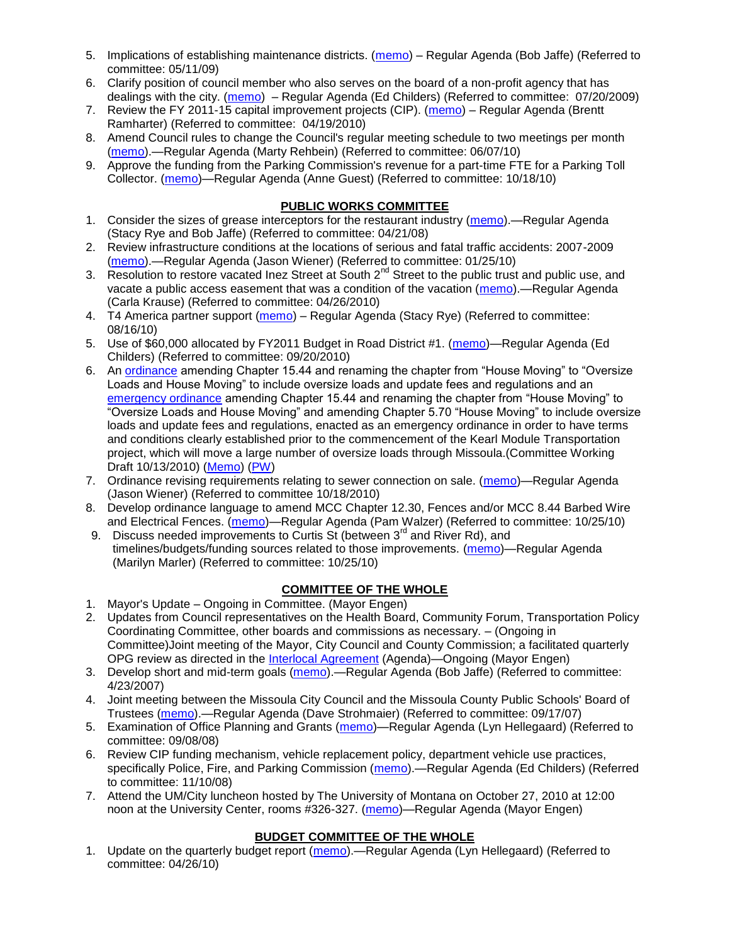- 5. Implications of establishing maintenance districts. [\(memo\)](ftp://ftp.ci.missoula.mt.us/Packets/Council/2009/2009-05-11/Referrals/MaintenanceDistricts.pdf) Regular Agenda (Bob Jaffe) (Referred to committee: 05/11/09)
- 6. Clarify position of council member who also serves on the board of a non-profit agency that has dealings with the city. [\(memo\)](http://www.ci.missoula.mt.us/DocumentView.aspx?DID=1840) – Regular Agenda (Ed Childers) (Referred to committee: 07/20/2009)
- 7. Review the FY 2011-15 capital improvement projects (CIP). [\(memo\)](http://www.ci.missoula.mt.us/DocumentView.aspx?DID=3522) Regular Agenda (Brentt Ramharter) (Referred to committee: 04/19/2010)
- 8. Amend Council rules to change the Council's regular meeting schedule to two meetings per month [\(memo\)](http://www.ci.missoula.mt.us/DocumentView.aspx?DID=4027).—Regular Agenda (Marty Rehbein) (Referred to committee: 06/07/10)
- 9. Approve the funding from the Parking Commission's revenue for a part-time FTE for a Parking Toll Collector. [\(memo\)](http://www.ci.missoula.mt.us/DocumentView.aspx?DID=4717)—Regular Agenda (Anne Guest) (Referred to committee: 10/18/10)

# **PUBLIC WORKS COMMITTEE**

- 1. Consider the sizes of grease interceptors for the restaurant industry [\(memo\)](ftp://ftp.ci.missoula.mt.us/Packets/Council/2008/2008-04-21/Referrals/Industrial_waste_restaurants.pdf).—Regular Agenda (Stacy Rye and Bob Jaffe) (Referred to committee: 04/21/08)
- 2. Review infrastructure conditions at the locations of serious and fatal traffic accidents: 2007-2009 [\(memo\)](http://www.ci.missoula.mt.us/DocumentView.aspx?DID=3031).—Regular Agenda (Jason Wiener) (Referred to committee: 01/25/10)
- 3. Resolution to restore vacated Inez Street at South 2<sup>nd</sup> Street to the public trust and public use, and vacate a public access easement that was a condition of the vacation [\(memo\)](http://www.ci.missoula.mt.us/DocumentView.aspx?DID=3573).—Regular Agenda (Carla Krause) (Referred to committee: 04/26/2010)
- 4. T4 America partner support [\(memo\)](http://www.ci.missoula.mt.us/DocumentView.aspx?DID=4452) Regular Agenda (Stacy Rye) (Referred to committee: 08/16/10)
- 5. Use of \$60,000 allocated by FY2011 Budget in Road District #1. [\(memo\)](http://www.ci.missoula.mt.us/DocumentView.aspx?DID=4589)—Regular Agenda (Ed Childers) (Referred to committee: 09/20/2010)
- 6. An [ordinance](http://www.ci.missoula.mt.us/DocumentView.aspx?DID=4348) amending Chapter 15.44 and renaming the chapter from "House Moving" to "Oversize" Loads and House Moving" to include oversize loads and update fees and regulations and an [emergency ordinance](http://www.ci.missoula.mt.us/DocumentView.aspx?DID=4409) amending Chapter 15.44 and renaming the chapter from "House Moving" to "Oversize Loads and House Moving" and amending Chapter 5.70 "House Moving" to include oversize loads and update fees and regulations, enacted as an emergency ordinance in order to have terms and conditions clearly established prior to the commencement of the Kearl Module Transportation project, which will move a large number of oversize loads through Missoula.(Committee Working Draft 10/13/2010) [\(Memo\)](http://www.ci.missoula.mt.us/DocumentView.aspx?DID=4362) [\(PW\)](http://www.ci.missoula.mt.us/Archive.aspx?ADID=2800)
- 7. Ordinance revising requirements relating to sewer connection on sale. [\(memo\)](http://www.ci.missoula.mt.us/DocumentView.aspx?DID=4746)—Regular Agenda (Jason Wiener) (Referred to committee 10/18/2010)
- 8. Develop ordinance language to amend MCC Chapter 12.30, Fences and/or MCC 8.44 Barbed Wire and Electrical Fences. [\(memo\)](http://www.ci.missoula.mt.us/DocumentView.aspx?DID=4872)—Regular Agenda (Pam Walzer) (Referred to committee: 10/25/10)
- 9. Discuss needed improvements to Curtis St (between  $3<sup>rd</sup>$  and River Rd), and timelines/budgets/funding sources related to those improvements. [\(memo\)](http://www.ci.missoula.mt.us/DocumentView.aspx?DID=4854)—Regular Agenda (Marilyn Marler) (Referred to committee: 10/25/10)

# **COMMITTEE OF THE WHOLE**

- 1. Mayor's Update Ongoing in Committee. (Mayor Engen)
- 2. Updates from Council representatives on the Health Board, Community Forum, Transportation Policy Coordinating Committee, other boards and commissions as necessary. – (Ongoing in Committee)Joint meeting of the Mayor, City Council and County Commission; a facilitated quarterly OPG review as directed in the [Interlocal Agreement](ftp://ftp.ci.missoula.mt.us/Documents/Mayor/OPG/Adopted-ILA-2005.pdf) (Agenda)—Ongoing (Mayor Engen)
- 3. Develop short and mid-term goals [\(memo\)](ftp://ftp.ci.missoula.mt.us/Packets/Council/2007/2007-04-23/Referrals/Council_Goals.pdf).—Regular Agenda (Bob Jaffe) (Referred to committee: 4/23/2007)
- 4. Joint meeting between the Missoula City Council and the Missoula County Public Schools' Board of Trustees [\(memo\)](ftp://ftp.ci.missoula.mt.us/Packets/Council/2007/2007-09-17/Referrals/Council_School_Board_referral.pdf).—Regular Agenda (Dave Strohmaier) (Referred to committee: 09/17/07)
- 5. Examination of Office Planning and Grants [\(memo\)](ftp://ftp.ci.missoula.mt.us/Packets/Council/2008/2008-09-08/Referrals/080825HendricksonOPGreferral.pdf)—Regular Agenda (Lyn Hellegaard) (Referred to committee: 09/08/08)
- 6. Review CIP funding mechanism, vehicle replacement policy, department vehicle use practices, specifically Police, Fire, and Parking Commission [\(memo\)](ftp://ftp.ci.missoula.mt.us/Packets/Council/2008/2008-11-10/Referrals/ReviewBudgetary.pdf).—Regular Agenda (Ed Childers) (Referred to committee: 11/10/08)
- 7. Attend the UM/City luncheon hosted by The University of Montana on October 27, 2010 at 12:00 noon at the University Center, rooms #326-327. [\(memo\)](http://www.ci.missoula.mt.us/DocumentView.aspx?DID=4706)—Regular Agenda (Mayor Engen)

## **BUDGET COMMITTEE OF THE WHOLE**

1. Update on the quarterly budget report [\(memo\)](http://www.ci.missoula.mt.us/DocumentView.aspx?DID=3554).—Regular Agenda (Lyn Hellegaard) (Referred to committee: 04/26/10)